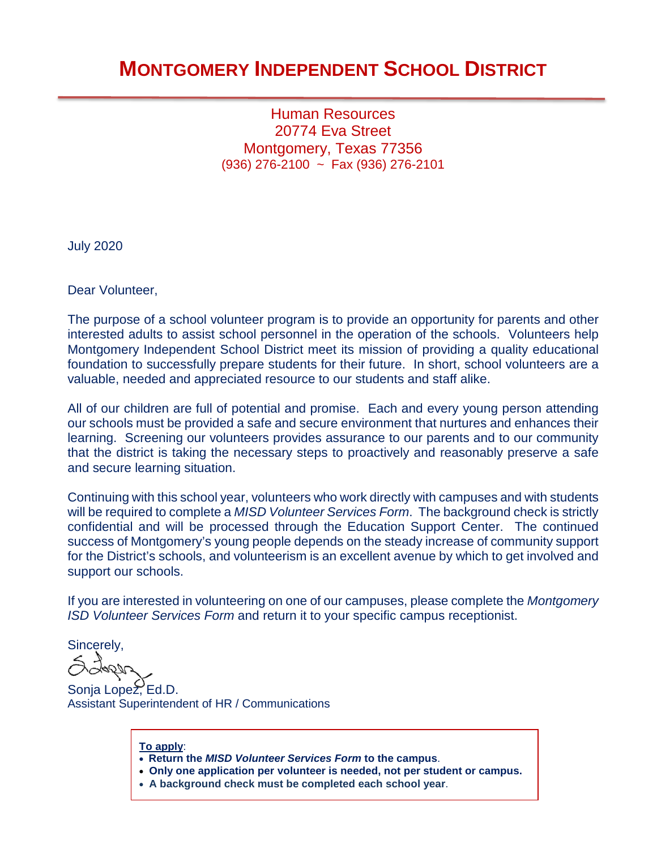## **MONTGOMERY INDEPENDENT SCHOOL DISTRICT**

Human Resources 20774 Eva Street Montgomery, Texas 77356 (936) 276-2100 ~ Fax (936) 276-2101

July 2020

Dear Volunteer,

The purpose of a school volunteer program is to provide an opportunity for parents and other interested adults to assist school personnel in the operation of the schools. Volunteers help Montgomery Independent School District meet its mission of providing a quality educational foundation to successfully prepare students for their future. In short, school volunteers are a valuable, needed and appreciated resource to our students and staff alike.

All of our children are full of potential and promise. Each and every young person attending our schools must be provided a safe and secure environment that nurtures and enhances their learning. Screening our volunteers provides assurance to our parents and to our community that the district is taking the necessary steps to proactively and reasonably preserve a safe and secure learning situation.

Continuing with this school year, volunteers who work directly with campuses and with students will be required to complete a *MISD Volunteer Services Form*. The background check is strictly confidential and will be processed through the Education Support Center. The continued success of Montgomery's young people depends on the steady increase of community support for the District's schools, and volunteerism is an excellent avenue by which to get involved and support our schools.

If you are interested in volunteering on one of our campuses, please complete the *Montgomery ISD Volunteer Services Form* and return it to your specific campus receptionist.

Sincerely,

Sonja Lopez, Ed.D. Assistant Superintendent of HR / Communications

**To apply**:

• **Return the** *MISD Volunteer Services Form* **to the campus**.

- **Only one application per volunteer is needed, not per student or campus.**
- **A background check must be completed each school year**.